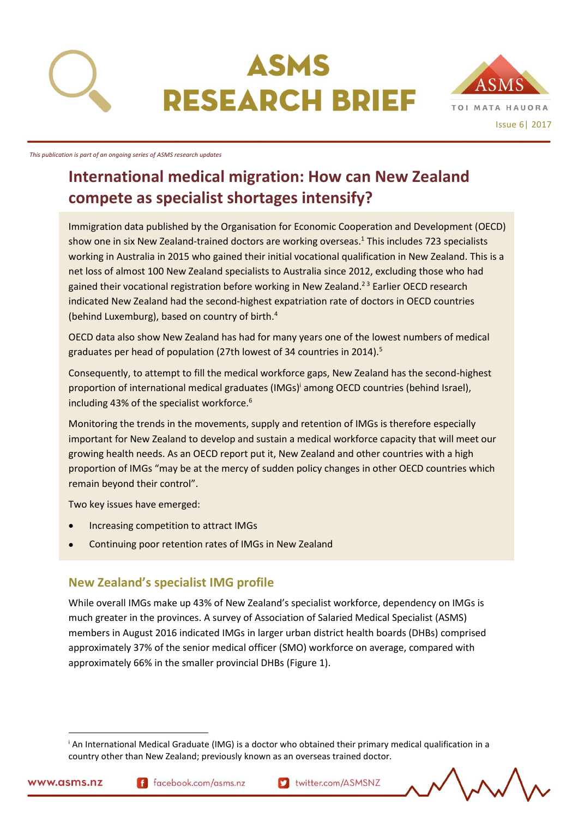

# ASMS **RESEARCH BRIEF**



*This publication is part of an ongoing series of ASMS research updates*

# **International medical migration: How can New Zealand compete as specialist shortages intensify?**

Immigration data published by the Organisation for Economic Cooperation and Development (OECD) show one in six New Zealand-trained doctors are working overseas.<sup>1</sup> This includes 723 specialists working in Australia in 2015 who gained their initial vocational qualification in New Zealand. This is a net loss of almost 100 New Zealand specialists to Australia since 2012, excluding those who had gained their vocational registration before working in New Zealand.<sup>23</sup> Earlier OECD research indicated New Zealand had the second-highest expatriation rate of doctors in OECD countries (behind Luxemburg), based on country of birth.<sup>4</sup>

OECD data also show New Zealand has had for many years one of the lowest numbers of medical graduates per head of population (27th lowest of 34 countries in 2014).<sup>5</sup>

Consequently, to attempt to fill the medical workforce gaps, New Zealand has the second-highest proportion of international medical graduates (IMGs)<sup>i</sup> among OECD countries (behind Israel), including 43% of the specialist workforce.<sup>6</sup>

Monitoring the trends in the movements, supply and retention of IMGs is therefore especially important for New Zealand to develop and sustain a medical workforce capacity that will meet our growing health needs. As an OECD report put it, New Zealand and other countries with a high proportion of IMGs "may be at the mercy of sudden policy changes in other OECD countries which remain beyond their control".

Two key issues have emerged:

- Increasing competition to attract IMGs
- Continuing poor retention rates of IMGs in New Zealand

# **New Zealand's specialist IMG profile**

While overall IMGs make up 43% of New Zealand's specialist workforce, dependency on IMGs is much greater in the provinces. A survey of Association of Salaried Medical Specialist (ASMS) members in August 2016 indicated IMGs in larger urban district health boards (DHBs) comprised approximately 37% of the senior medical officer (SMO) workforce on average, compared with approximately 66% in the smaller provincial DHBs (Figure 1).

 $\overline{a}$ 

<sup>i</sup> An International Medical Graduate (IMG) is a doctor who obtained their primary medical qualification in a country other than New Zealand; previously known as an overseas trained doctor.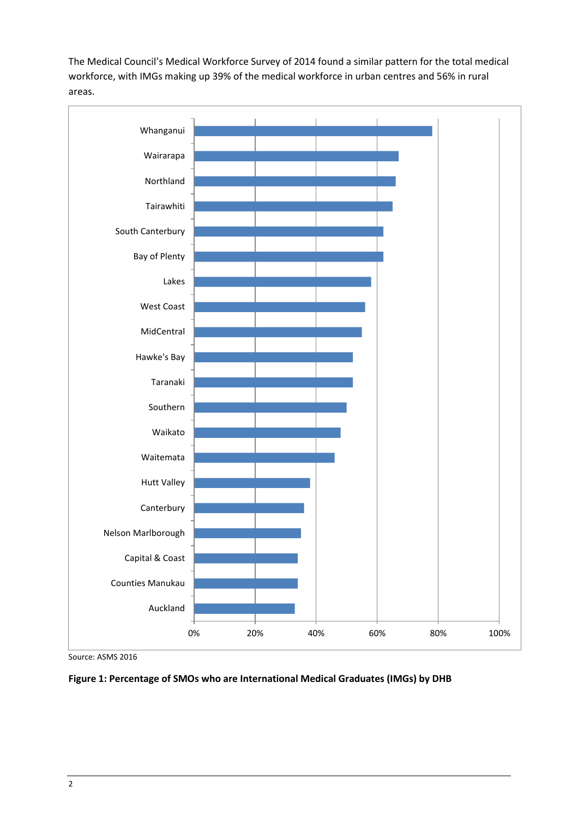The Medical Council's Medical Workforce Survey of 2014 found a similar pattern for the total medical workforce, with IMGs making up 39% of the medical workforce in urban centres and 56% in rural areas.



Source: ASMS 2016

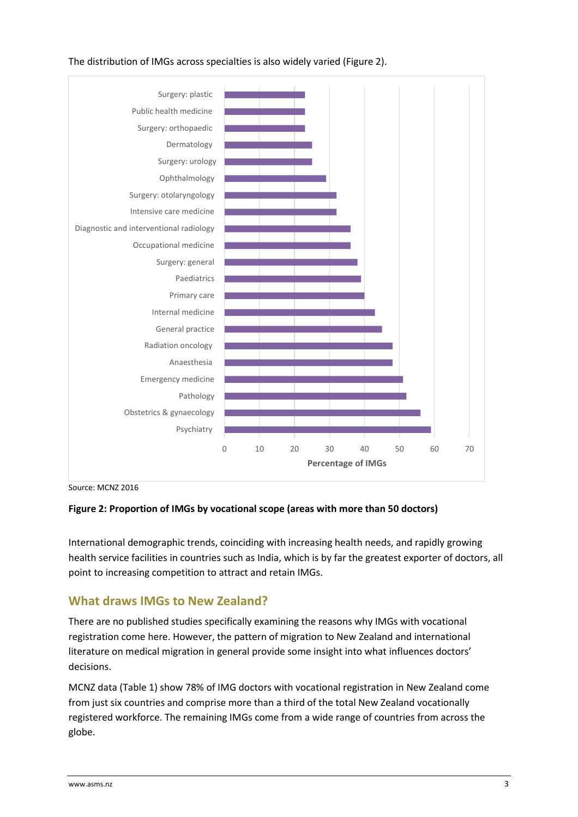

#### The distribution of IMGs across specialties is also widely varied (Figure 2).

Source: MCNZ 2016

#### **Figure 2: Proportion of IMGs by vocational scope (areas with more than 50 doctors)**

International demographic trends, coinciding with increasing health needs, and rapidly growing health service facilities in countries such as India, which is by far the greatest exporter of doctors, all point to increasing competition to attract and retain IMGs.

# **What draws IMGs to New Zealand?**

There are no published studies specifically examining the reasons why IMGs with vocational registration come here. However, the pattern of migration to New Zealand and international literature on medical migration in general provide some insight into what influences doctors' decisions.

MCNZ data (Table 1) show 78% of IMG doctors with vocational registration in New Zealand come from just six countries and comprise more than a third of the total New Zealand vocationally registered workforce. The remaining IMGs come from a wide range of countries from across the globe.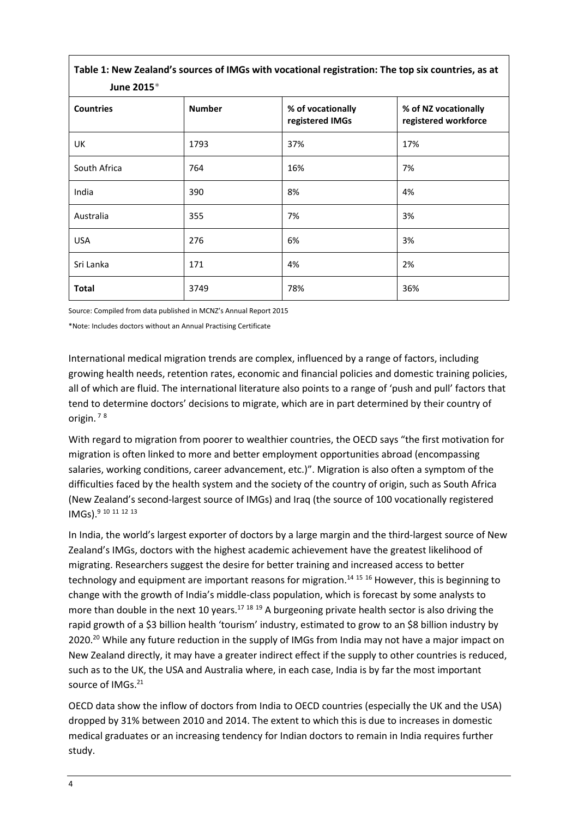| Table 1: New Zealand's sources of IMGs with vocational registration: The top six countries, as at<br>June 2015* |               |                                      |                                              |
|-----------------------------------------------------------------------------------------------------------------|---------------|--------------------------------------|----------------------------------------------|
| <b>Countries</b>                                                                                                | <b>Number</b> | % of vocationally<br>registered IMGs | % of NZ vocationally<br>registered workforce |
| UK                                                                                                              | 1793          | 37%                                  | 17%                                          |
| South Africa                                                                                                    | 764           | 16%                                  | 7%                                           |
| India                                                                                                           | 390           | 8%                                   | 4%                                           |
| Australia                                                                                                       | 355           | 7%                                   | 3%                                           |
| <b>USA</b>                                                                                                      | 276           | 6%                                   | 3%                                           |
| Sri Lanka                                                                                                       | 171           | 4%                                   | 2%                                           |
| <b>Total</b>                                                                                                    | 3749          | 78%                                  | 36%                                          |

Source: Compiled from data published in MCNZ's Annual Report 2015

\*Note: Includes doctors without an Annual Practising Certificate

International medical migration trends are complex, influenced by a range of factors, including growing health needs, retention rates, economic and financial policies and domestic training policies, all of which are fluid. The international literature also points to a range of 'push and pull' factors that tend to determine doctors' decisions to migrate, which are in part determined by their country of origin. <sup>7</sup> <sup>8</sup>

With regard to migration from poorer to wealthier countries, the OECD says "the first motivation for migration is often linked to more and better employment opportunities abroad (encompassing salaries, working conditions, career advancement, etc.)". Migration is also often a symptom of the difficulties faced by the health system and the society of the country of origin, such as South Africa (New Zealand's second-largest source of IMGs) and Iraq (the source of 100 vocationally registered IMGs).<sup>9</sup> <sup>10</sup> <sup>11</sup> <sup>12</sup> <sup>13</sup>

In India, the world's largest exporter of doctors by a large margin and the third-largest source of New Zealand's IMGs, doctors with the highest academic achievement have the greatest likelihood of migrating. Researchers suggest the desire for better training and increased access to better technology and equipment are important reasons for migration. <sup>14</sup> <sup>15</sup> <sup>16</sup> However, this is beginning to change with the growth of India's middle-class population, which is forecast by some analysts to more than double in the next 10 years.<sup>17 18 19</sup> A burgeoning private health sector is also driving the rapid growth of a \$3 billion health 'tourism' industry, estimated to grow to an \$8 billion industry by 2020.<sup>20</sup> While any future reduction in the supply of IMGs from India may not have a major impact on New Zealand directly, it may have a greater indirect effect if the supply to other countries is reduced, such as to the UK, the USA and Australia where, in each case, India is by far the most important source of IMGs.<sup>21</sup>

OECD data show the inflow of doctors from India to OECD countries (especially the UK and the USA) dropped by 31% between 2010 and 2014. The extent to which this is due to increases in domestic medical graduates or an increasing tendency for Indian doctors to remain in India requires further study.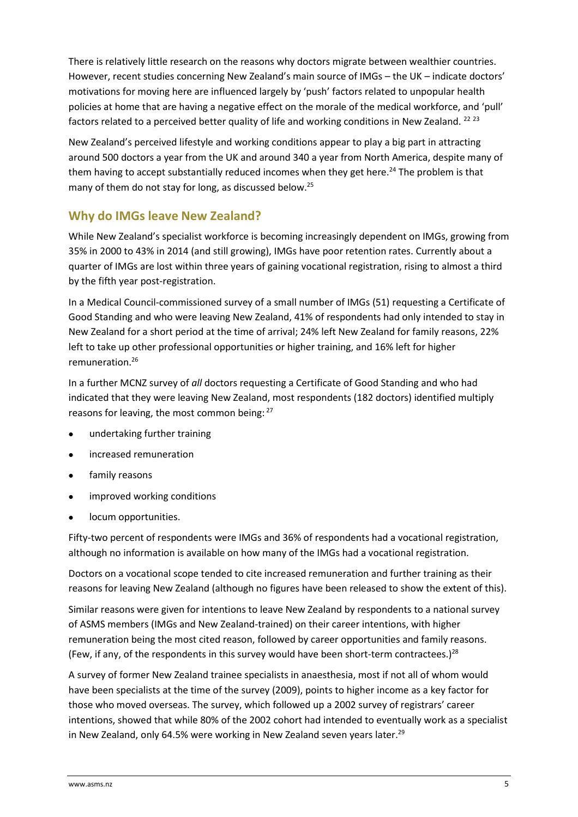There is relatively little research on the reasons why doctors migrate between wealthier countries. However, recent studies concerning New Zealand's main source of IMGs – the UK – indicate doctors' motivations for moving here are influenced largely by 'push' factors related to unpopular health policies at home that are having a negative effect on the morale of the medical workforce, and 'pull' factors related to a perceived better quality of life and working conditions in New Zealand. <sup>22 23</sup>

New Zealand's perceived lifestyle and working conditions appear to play a big part in attracting around 500 doctors a year from the UK and around 340 a year from North America, despite many of them having to accept substantially reduced incomes when they get here.<sup>24</sup> The problem is that many of them do not stay for long, as discussed below.<sup>25</sup>

# **Why do IMGs leave New Zealand?**

While New Zealand's specialist workforce is becoming increasingly dependent on IMGs, growing from 35% in 2000 to 43% in 2014 (and still growing), IMGs have poor retention rates. Currently about a quarter of IMGs are lost within three years of gaining vocational registration, rising to almost a third by the fifth year post-registration.

In a Medical Council-commissioned survey of a small number of IMGs (51) requesting a Certificate of Good Standing and who were leaving New Zealand, 41% of respondents had only intended to stay in New Zealand for a short period at the time of arrival; 24% left New Zealand for family reasons, 22% left to take up other professional opportunities or higher training, and 16% left for higher remuneration. 26

In a further MCNZ survey of *all* doctors requesting a Certificate of Good Standing and who had indicated that they were leaving New Zealand, most respondents (182 doctors) identified multiply reasons for leaving, the most common being: <sup>27</sup>

- undertaking further training
- increased remuneration
- family reasons
- improved working conditions
- locum opportunities.

Fifty-two percent of respondents were IMGs and 36% of respondents had a vocational registration, although no information is available on how many of the IMGs had a vocational registration.

Doctors on a vocational scope tended to cite increased remuneration and further training as their reasons for leaving New Zealand (although no figures have been released to show the extent of this).

Similar reasons were given for intentions to leave New Zealand by respondents to a national survey of ASMS members (IMGs and New Zealand-trained) on their career intentions, with higher remuneration being the most cited reason, followed by career opportunities and family reasons. (Few, if any, of the respondents in this survey would have been short-term contractees.)<sup>28</sup>

A survey of former New Zealand trainee specialists in anaesthesia, most if not all of whom would have been specialists at the time of the survey (2009), points to higher income as a key factor for those who moved overseas. The survey, which followed up a 2002 survey of registrars' career intentions, showed that while 80% of the 2002 cohort had intended to eventually work as a specialist in New Zealand, only 64.5% were working in New Zealand seven years later.<sup>29</sup>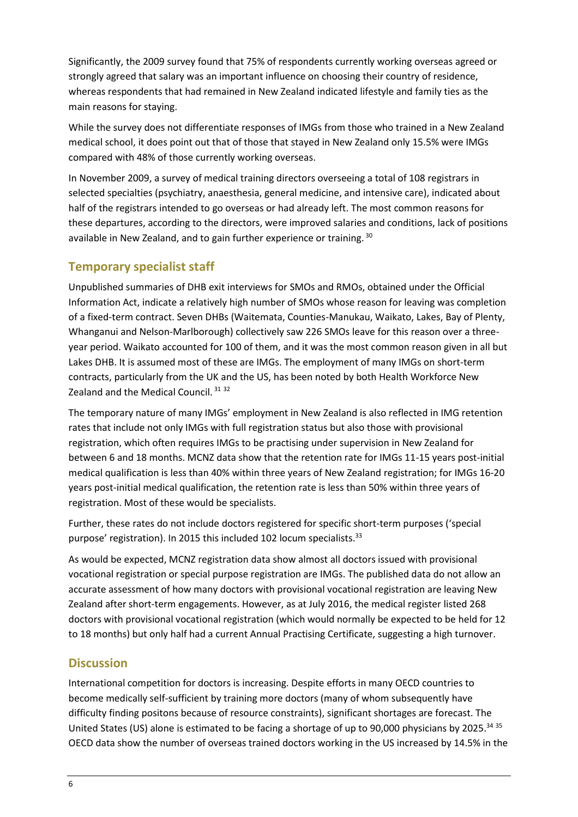Significantly, the 2009 survey found that 75% of respondents currently working overseas agreed or strongly agreed that salary was an important influence on choosing their country of residence, whereas respondents that had remained in New Zealand indicated lifestyle and family ties as the main reasons for staying.

While the survey does not differentiate responses of IMGs from those who trained in a New Zealand medical school, it does point out that of those that stayed in New Zealand only 15.5% were IMGs compared with 48% of those currently working overseas.

In November 2009, a survey of medical training directors overseeing a total of 108 registrars in selected specialties (psychiatry, anaesthesia, general medicine, and intensive care), indicated about half of the registrars intended to go overseas or had already left. The most common reasons for these departures, according to the directors, were improved salaries and conditions, lack of positions available in New Zealand, and to gain further experience or training. 30

#### **Temporary specialist staff**

Unpublished summaries of DHB exit interviews for SMOs and RMOs, obtained under the Official Information Act, indicate a relatively high number of SMOs whose reason for leaving was completion of a fixed-term contract. Seven DHBs (Waitemata, Counties-Manukau, Waikato, Lakes, Bay of Plenty, Whanganui and Nelson-Marlborough) collectively saw 226 SMOs leave for this reason over a threeyear period. Waikato accounted for 100 of them, and it was the most common reason given in all but Lakes DHB. It is assumed most of these are IMGs. The employment of many IMGs on short-term contracts, particularly from the UK and the US, has been noted by both Health Workforce New Zealand and the Medical Council. <sup>31</sup> <sup>32</sup>

The temporary nature of many IMGs' employment in New Zealand is also reflected in IMG retention rates that include not only IMGs with full registration status but also those with provisional registration, which often requires IMGs to be practising under supervision in New Zealand for between 6 and 18 months. MCNZ data show that the retention rate for IMGs 11-15 years post-initial medical qualification is less than 40% within three years of New Zealand registration; for IMGs 16-20 years post-initial medical qualification, the retention rate is less than 50% within three years of registration. Most of these would be specialists.

Further, these rates do not include doctors registered for specific short-term purposes ('special purpose' registration). In 2015 this included 102 locum specialists.<sup>33</sup>

As would be expected, MCNZ registration data show almost all doctors issued with provisional vocational registration or special purpose registration are IMGs. The published data do not allow an accurate assessment of how many doctors with provisional vocational registration are leaving New Zealand after short-term engagements. However, as at July 2016, the medical register listed 268 doctors with provisional vocational registration (which would normally be expected to be held for 12 to 18 months) but only half had a current Annual Practising Certificate, suggesting a high turnover.

# **Discussion**

International competition for doctors is increasing. Despite efforts in many OECD countries to become medically self-sufficient by training more doctors (many of whom subsequently have difficulty finding positons because of resource constraints), significant shortages are forecast. The United States (US) alone is estimated to be facing a shortage of up to 90,000 physicians by 2025.<sup>34 35</sup> OECD data show the number of overseas trained doctors working in the US increased by 14.5% in the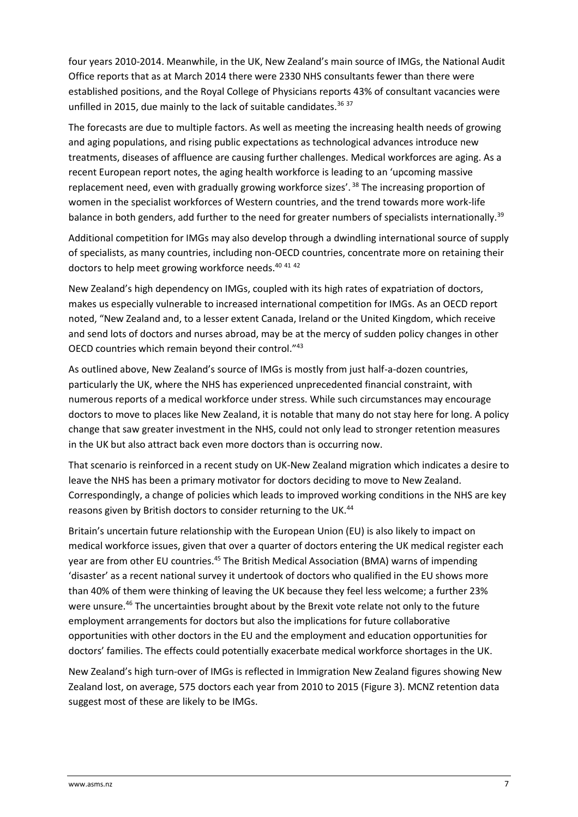four years 2010-2014. Meanwhile, in the UK, New Zealand's main source of IMGs, the National Audit Office reports that as at March 2014 there were 2330 NHS consultants fewer than there were established positions, and the Royal College of Physicians reports 43% of consultant vacancies were unfilled in 2015, due mainly to the lack of suitable candidates.<sup>36 37</sup>

The forecasts are due to multiple factors. As well as meeting the increasing health needs of growing and aging populations, and rising public expectations as technological advances introduce new treatments, diseases of affluence are causing further challenges. Medical workforces are aging. As a recent European report notes, the aging health workforce is leading to an 'upcoming massive replacement need, even with gradually growing workforce sizes'.<sup>38</sup> The increasing proportion of women in the specialist workforces of Western countries, and the trend towards more work-life balance in both genders, add further to the need for greater numbers of specialists internationally.<sup>39</sup>

Additional competition for IMGs may also develop through a dwindling international source of supply of specialists, as many countries, including non-OECD countries, concentrate more on retaining their doctors to help meet growing workforce needs.<sup>40 41 42</sup>

New Zealand's high dependency on IMGs, coupled with its high rates of expatriation of doctors, makes us especially vulnerable to increased international competition for IMGs. As an OECD report noted, "New Zealand and, to a lesser extent Canada, Ireland or the United Kingdom, which receive and send lots of doctors and nurses abroad, may be at the mercy of sudden policy changes in other OECD countries which remain beyond their control."<sup>43</sup>

As outlined above, New Zealand's source of IMGs is mostly from just half-a-dozen countries, particularly the UK, where the NHS has experienced unprecedented financial constraint, with numerous reports of a medical workforce under stress. While such circumstances may encourage doctors to move to places like New Zealand, it is notable that many do not stay here for long. A policy change that saw greater investment in the NHS, could not only lead to stronger retention measures in the UK but also attract back even more doctors than is occurring now.

That scenario is reinforced in a recent study on UK-New Zealand migration which indicates a desire to leave the NHS has been a primary motivator for doctors deciding to move to New Zealand. Correspondingly, a change of policies which leads to improved working conditions in the NHS are key reasons given by British doctors to consider returning to the UK.<sup>44</sup>

Britain's uncertain future relationship with the European Union (EU) is also likely to impact on medical workforce issues, given that over a quarter of doctors entering the UK medical register each year are from other EU countries.<sup>45</sup> The British Medical Association (BMA) warns of impending 'disaster' as a recent national survey it undertook of doctors who qualified in the EU shows more than 40% of them were thinking of leaving the UK because they feel less welcome; a further 23% were unsure.<sup>46</sup> The uncertainties brought about by the Brexit vote relate not only to the future employment arrangements for doctors but also the implications for future collaborative opportunities with other doctors in the EU and the employment and education opportunities for doctors' families. The effects could potentially exacerbate medical workforce shortages in the UK.

New Zealand's high turn-over of IMGs is reflected in Immigration New Zealand figures showing New Zealand lost, on average, 575 doctors each year from 2010 to 2015 (Figure 3). MCNZ retention data suggest most of these are likely to be IMGs.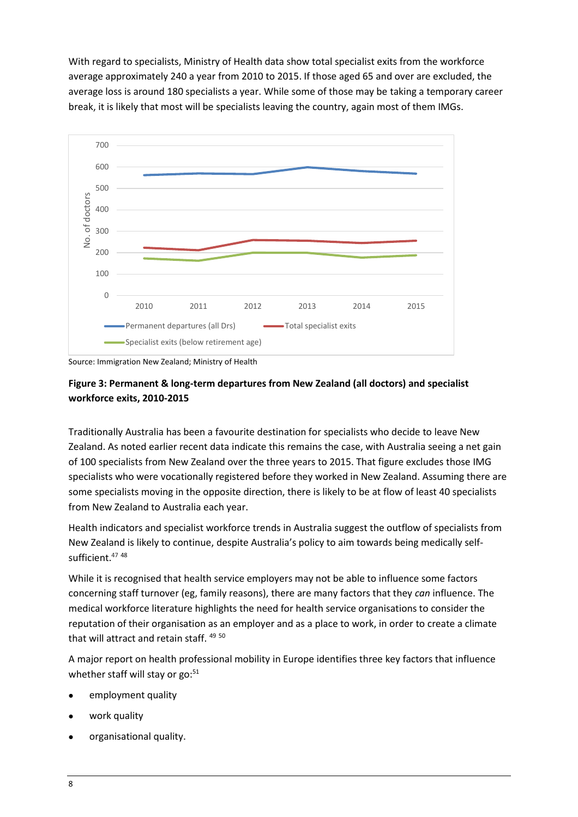With regard to specialists, Ministry of Health data show total specialist exits from the workforce average approximately 240 a year from 2010 to 2015. If those aged 65 and over are excluded, the average loss is around 180 specialists a year. While some of those may be taking a temporary career break, it is likely that most will be specialists leaving the country, again most of them IMGs.



Source: Immigration New Zealand; Ministry of Health

#### **Figure 3: Permanent & long-term departures from New Zealand (all doctors) and specialist workforce exits, 2010-2015**

Traditionally Australia has been a favourite destination for specialists who decide to leave New Zealand. As noted earlier recent data indicate this remains the case, with Australia seeing a net gain of 100 specialists from New Zealand over the three years to 2015. That figure excludes those IMG specialists who were vocationally registered before they worked in New Zealand. Assuming there are some specialists moving in the opposite direction, there is likely to be at flow of least 40 specialists from New Zealand to Australia each year.

Health indicators and specialist workforce trends in Australia suggest the outflow of specialists from New Zealand is likely to continue, despite Australia's policy to aim towards being medically selfsufficient.<sup>47</sup> <sup>48</sup>

While it is recognised that health service employers may not be able to influence some factors concerning staff turnover (eg, family reasons), there are many factors that they *can* influence. The medical workforce literature highlights the need for health service organisations to consider the reputation of their organisation as an employer and as a place to work, in order to create a climate that will attract and retain staff. 49 50

A major report on health professional mobility in Europe identifies three key factors that influence whether staff will stay or  $go:51$ 

- employment quality
- work quality
- organisational quality.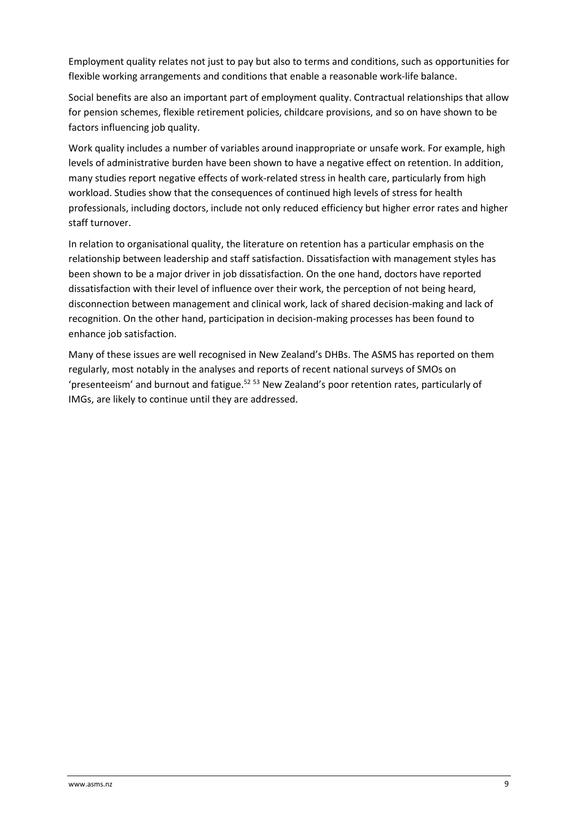Employment quality relates not just to pay but also to terms and conditions, such as opportunities for flexible working arrangements and conditions that enable a reasonable work-life balance.

Social benefits are also an important part of employment quality. Contractual relationships that allow for pension schemes, flexible retirement policies, childcare provisions, and so on have shown to be factors influencing job quality.

Work quality includes a number of variables around inappropriate or unsafe work. For example, high levels of administrative burden have been shown to have a negative effect on retention. In addition, many studies report negative effects of work-related stress in health care, particularly from high workload. Studies show that the consequences of continued high levels of stress for health professionals, including doctors, include not only reduced efficiency but higher error rates and higher staff turnover.

In relation to organisational quality, the literature on retention has a particular emphasis on the relationship between leadership and staff satisfaction. Dissatisfaction with management styles has been shown to be a major driver in job dissatisfaction. On the one hand, doctors have reported dissatisfaction with their level of influence over their work, the perception of not being heard, disconnection between management and clinical work, lack of shared decision-making and lack of recognition. On the other hand, participation in decision-making processes has been found to enhance job satisfaction.

Many of these issues are well recognised in New Zealand's DHBs. The ASMS has reported on them regularly, most notably in the analyses and reports of recent national surveys of SMOs on 'presenteeism' and burnout and fatigue.<sup>52</sup> 53 New Zealand's poor retention rates, particularly of IMGs, are likely to continue until they are addressed.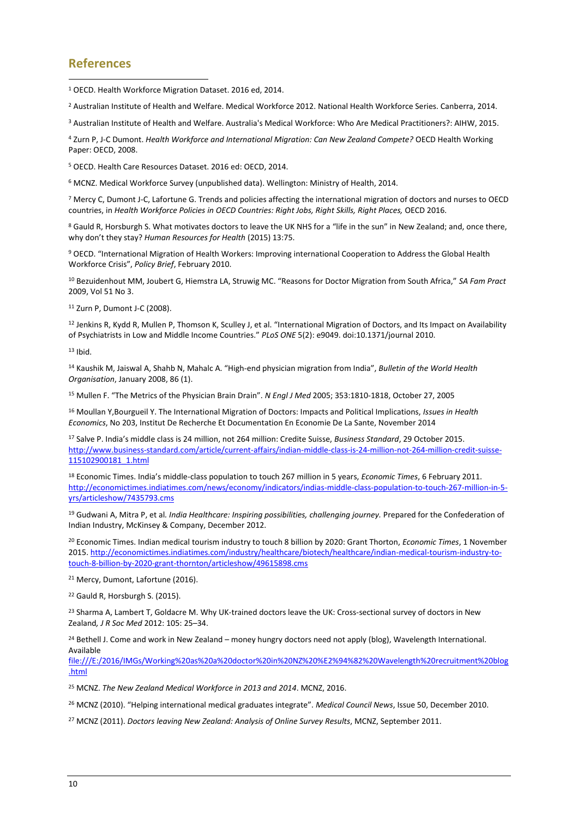#### **References**

<sup>1</sup> OECD. Health Workforce Migration Dataset. 2016 ed, 2014. j

<sup>2</sup> Australian Institute of Health and Welfare. Medical Workforce 2012. National Health Workforce Series. Canberra, 2014.

<sup>3</sup> Australian Institute of Health and Welfare. Australia's Medical Workforce: Who Are Medical Practitioners?: AIHW, 2015.

<sup>4</sup> Zurn P, J-C Dumont. *Health Workforce and International Migration: Can New Zealand Compete?* OECD Health Working Paper: OECD, 2008.

<sup>5</sup> OECD. Health Care Resources Dataset. 2016 ed: OECD, 2014.

<sup>6</sup> MCNZ. Medical Workforce Survey (unpublished data). Wellington: Ministry of Health, 2014.

<sup>7</sup> Mercy C, Dumont J-C, Lafortune G. Trends and policies affecting the international migration of doctors and nurses to OECD countries, in *Health Workforce Policies in OECD Countries: Right Jobs, Right Skills, Right Places,* OECD 2016.

<sup>8</sup> Gauld R, Horsburgh S. What motivates doctors to leave the UK NHS for a "life in the sun" in New Zealand; and, once there, why don't they stay? *Human Resources for Health* (2015) 13:75.

<sup>9</sup> OECD. "International Migration of Health Workers: Improving international Cooperation to Address the Global Health Workforce Crisis", *Policy Brief*, February 2010.

<sup>10</sup> Bezuidenhout MM, Joubert G, Hiemstra LA, Struwig MC. "Reasons for Doctor Migration from South Africa," *SA Fam Pract* 2009, Vol 51 No 3.

<sup>11</sup> Zurn P, Dumont J-C (2008).

<sup>12</sup> Jenkins R, Kydd R, Mullen P, Thomson K, Sculley J, et al. "International Migration of Doctors, and Its Impact on Availability of Psychiatrists in Low and Middle Income Countries." *PLoS ONE* 5(2): e9049. doi:10.1371/journal 2010.

 $13$  Ibid.

<sup>14</sup> Kaushik M, Jaiswal A, Shahb N, Mahalc A. "High-end physician migration from India", *Bulletin of the World Health Organisation*, January 2008, 86 (1).

<sup>15</sup> Mullen F. "The Metrics of the Physician Brain Drain". *N Engl J Med* 2005; 353:1810-1818, [October](http://www.nejm.org/toc/nejm/353/17/) 27, 2005

<sup>16</sup> Moullan Y,Bourgueil Y. The International Migration of Doctors: Impacts and Political Implications, *Issues in Health Economics*, No 203, Institut De Recherche Et Documentation En Economie De La Sante, November 2014

<sup>17</sup> Salve P. India's middle class is 24 million, not 264 million: Credite Suisse, *Business Standard*, 29 October 2015. [http://www.business-standard.com/article/current-affairs/indian-middle-class-is-24-million-not-264-million-credit-suisse-](http://www.business-standard.com/article/current-affairs/indian-middle-class-is-24-million-not-264-million-credit-suisse-115102900181_1.html)[115102900181\\_1.html](http://www.business-standard.com/article/current-affairs/indian-middle-class-is-24-million-not-264-million-credit-suisse-115102900181_1.html)

<sup>18</sup> Economic Times. India's middle-class population to touch 267 million in 5 years, *Economic Times*, 6 February 2011. [http://economictimes.indiatimes.com/news/economy/indicators/indias-middle-class-population-to-touch-267-million-in-5](http://economictimes.indiatimes.com/news/economy/indicators/indias-middle-class-population-to-touch-267-million-in-5-yrs/articleshow/7435793.cms) [yrs/articleshow/7435793.cms](http://economictimes.indiatimes.com/news/economy/indicators/indias-middle-class-population-to-touch-267-million-in-5-yrs/articleshow/7435793.cms)

<sup>19</sup> Gudwani A, Mitra P, et al*. India Healthcare: Inspiring possibilities, challenging journey.* Prepared for the Confederation of Indian Industry, McKinsey & Company, December 2012.

<sup>20</sup> Economic Times. Indian medical tourism industry to touch 8 billion by 2020: Grant Thorton, *Economic Times*, 1 November 2015[. http://economictimes.indiatimes.com/industry/healthcare/biotech/healthcare/indian-medical-tourism-industry-to](http://economictimes.indiatimes.com/industry/healthcare/biotech/healthcare/indian-medical-tourism-industry-to-touch-8-billion-by-2020-grant-thornton/articleshow/49615898.cms)[touch-8-billion-by-2020-grant-thornton/articleshow/49615898.cms](http://economictimes.indiatimes.com/industry/healthcare/biotech/healthcare/indian-medical-tourism-industry-to-touch-8-billion-by-2020-grant-thornton/articleshow/49615898.cms)

<sup>21</sup> Mercy, Dumont, Lafortune (2016).

<sup>22</sup> Gauld R, Horsburgh S. (2015).

<sup>23</sup> Sharma A, Lambert T, Goldacre M. Why UK-trained doctors leave the UK: Cross-sectional survey of doctors in New Zealand*, J R Soc Med* 2012: 105: 25–34.

<sup>24</sup> Bethell J. Come and work in New Zealand – money hungry doctors need not apply (blog), Wavelength International. Available

[file:///E:/2016/IMGs/Working%20as%20a%20doctor%20in%20NZ%20%E2%94%82%20Wavelength%20recruitment%20blog](file:///E:/2016/IMGs/Working%20as%20a%20doctor%20in%20NZ%20â%20Wavelength%20recruitment%20blog.html) [.html](file:///E:/2016/IMGs/Working%20as%20a%20doctor%20in%20NZ%20â%20Wavelength%20recruitment%20blog.html)

<sup>25</sup> MCNZ. *The New Zealand Medical Workforce in 2013 and 2014*. MCNZ, 2016.

<sup>26</sup> MCNZ (2010). "Helping international medical graduates integrate". *Medical Council News*, Issue 50, December 2010.

<sup>27</sup> MCNZ (2011). *Doctors leaving New Zealand: Analysis of Online Survey Results*, MCNZ, September 2011.